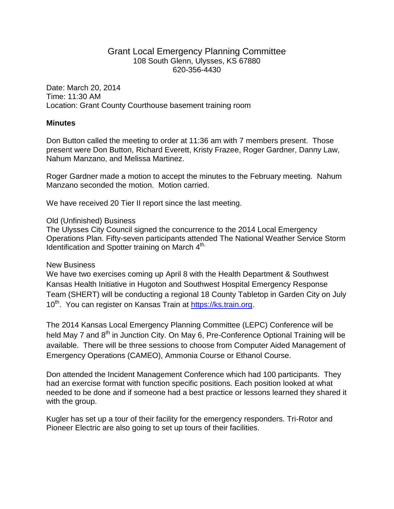## Grant Local Emergency Planning Committee 108 South Glenn, Ulysses, KS 67880 620-356-4430

Date: March 20, 2014 Time: 11:30 AM Location: Grant County Courthouse basement training room

## **Minutes**

Don Button called the meeting to order at 11:36 am with 7 members present. Those present were Don Button, Richard Everett, Kristy Frazee, Roger Gardner, Danny Law, Nahum Manzano, and Melissa Martinez.

Roger Gardner made a motion to accept the minutes to the February meeting. Nahum Manzano seconded the motion. Motion carried.

We have received 20 Tier II report since the last meeting.

## Old (Unfinished) Business

The Ulysses City Council signed the concurrence to the 2014 Local Emergency Operations Plan. Fifty-seven participants attended The National Weather Service Storm Identification and Spotter training on March 4<sup>th.</sup>

## New Business

We have two exercises coming up April 8 with the Health Department & Southwest Kansas Health Initiative in Hugoton and Southwest Hospital Emergency Response Team (SHERT) will be conducting a regional 18 County Tabletop in Garden City on July 10<sup>th</sup>. You can register on Kansas Train at [https://ks.train.org.](https://ks.train.org/)

The 2014 Kansas Local Emergency Planning Committee (LEPC) Conference will be held May 7 and 8<sup>th</sup> in Junction City. On May 6, Pre-Conference Optional Training will be available. There will be three sessions to choose from Computer Aided Management of Emergency Operations (CAMEO), Ammonia Course or Ethanol Course.

Don attended the Incident Management Conference which had 100 participants. They had an exercise format with function specific positions. Each position looked at what needed to be done and if someone had a best practice or lessons learned they shared it with the group.

Kugler has set up a tour of their facility for the emergency responders. Tri-Rotor and Pioneer Electric are also going to set up tours of their facilities.